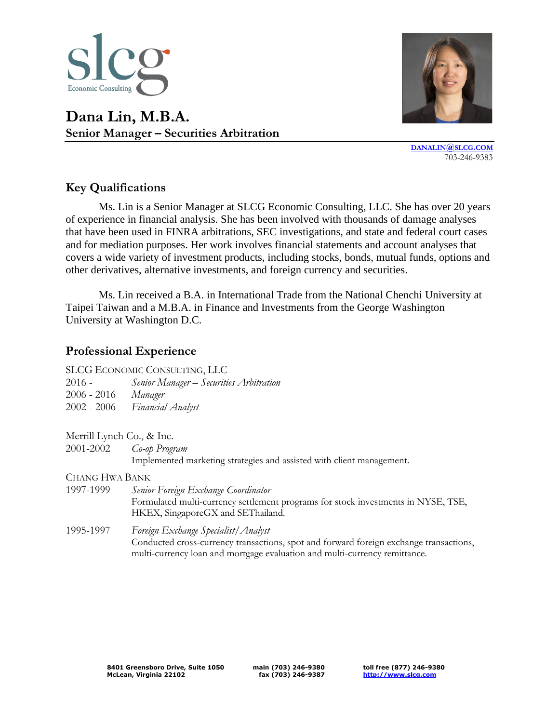





**[DANALIN](mailto:danalin@slcg.com)@SLCG.COM** 703-246-9383

## **Key Qualifications**

Ms. Lin is a Senior Manager at SLCG Economic Consulting, LLC. She has over 20 years of experience in financial analysis. She has been involved with thousands of damage analyses that have been used in FINRA arbitrations, SEC investigations, and state and federal court cases and for mediation purposes. Her work involves financial statements and account analyses that covers a wide variety of investment products, including stocks, bonds, mutual funds, options and other derivatives, alternative investments, and foreign currency and securities.

Ms. Lin received a B.A. in International Trade from the National Chenchi University at Taipei Taiwan and a M.B.A. in Finance and Investments from the George Washington University at Washington D.C.

## **Professional Experience**

|             | SLCG ECONOMIC CONSULTING, LLC           |
|-------------|-----------------------------------------|
| 2016 -      | Senior Manager – Securities Arbitration |
| 2006 - 2016 | Manager                                 |

- 2002 2006 *Financial Analyst*
- Merrill Lynch Co., & Inc.
- 2001-2002 *Co-op Program*

Implemented marketing strategies and assisted with client management.

CHANG HWA BANK

- 1997-1999 *Senior Foreign Exchange Coordinator* Formulated multi-currency settlement programs for stock investments in NYSE, TSE, HKEX, SingaporeGX and SEThailand. 1995-1997 *Foreign Exchange Specialist/Analyst* 
	- Conducted cross-currency transactions, spot and forward foreign exchange transactions, multi-currency loan and mortgage evaluation and multi-currency remittance.

**main (703) 246-9380 fax (703) 246-9387** **toll free (877) 246-9380 [http://www.slcg.com](http://www.slcg.com/)**